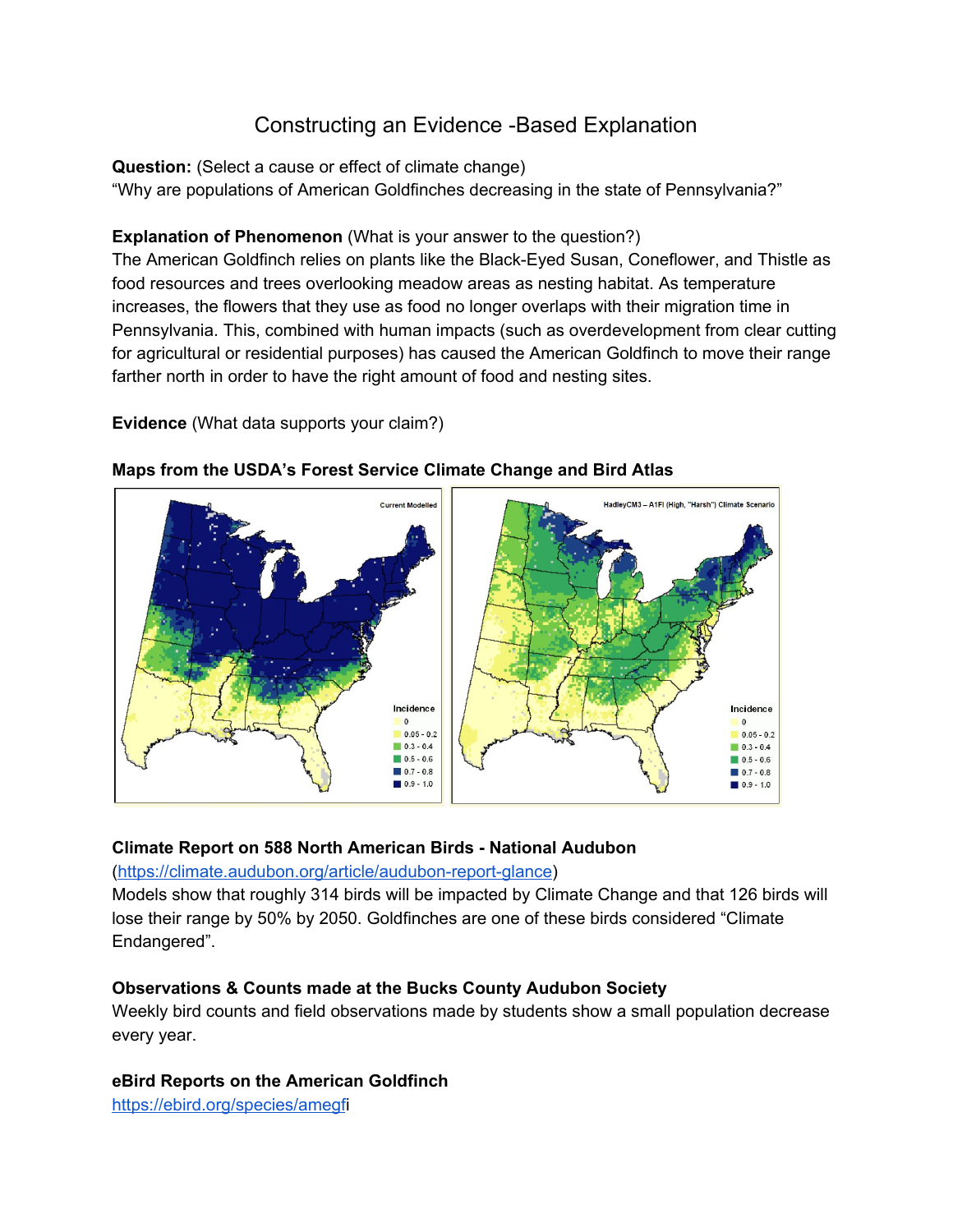# Constructing an Evidence -Based Explanation

**Question:** (Select a cause or effect of climate change) "Why are populations of American Goldfinches decreasing in the state of Pennsylvania?"

## **Explanation of Phenomenon** (What is your answer to the question?)

The American Goldfinch relies on plants like the Black-Eyed Susan, Coneflower, and Thistle as food resources and trees overlooking meadow areas as nesting habitat. As temperature increases, the flowers that they use as food no longer overlaps with their migration time in Pennsylvania. This, combined with human impacts (such as overdevelopment from clear cutting for agricultural or residential purposes) has caused the American Goldfinch to move their range farther north in order to have the right amount of food and nesting sites.

## **Evidence** (What data supports your claim?)



## **Maps from the USDA's Forest Service Climate Change and Bird Atlas**

#### **Climate Report on 588 North American Birds - National Audubon**

#### ([https://climate.audubon.org/article/audubon-report-glance\)](https://climate.audubon.org/article/audubon-report-glance)

Models show that roughly 314 birds will be impacted by Climate Change and that 126 birds will lose their range by 50% by 2050. Goldfinches are one of these birds considered "Climate Endangered".

# **Observations & Counts made at the Bucks County Audubon Society**

Weekly bird counts and field observations made by students show a small population decrease every year.

# **eBird Reports on the American Goldfinch**

[https://ebird.org/species/amegf](https://ebird.org/species/amegfi)i